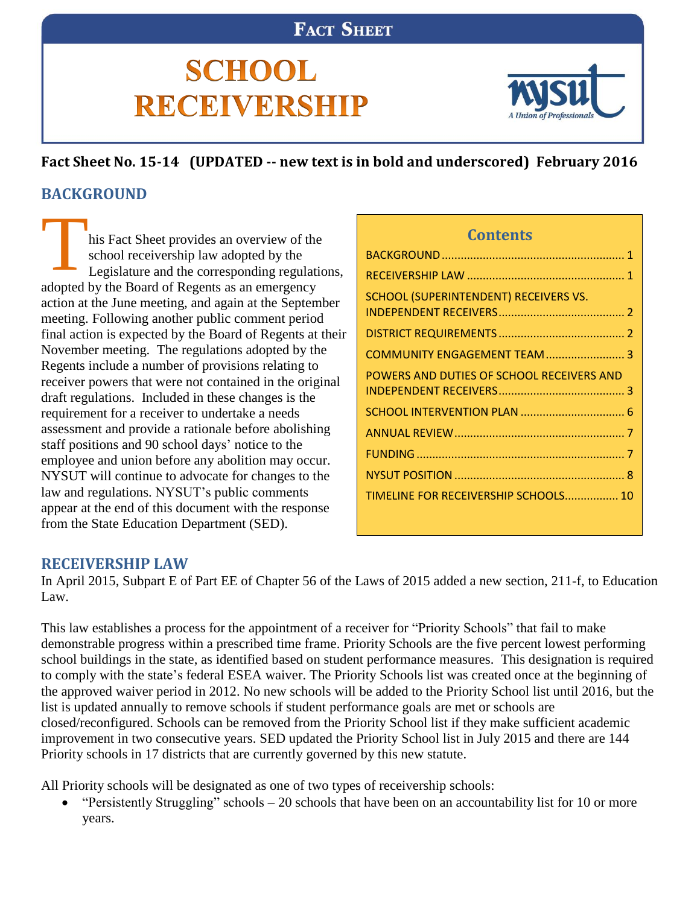## **FACT SHEET**

# **SCHOOL RECEIVERSHIP**



## **Fact Sheet No. 15-14 (UPDATED -- new text is in bold and underscored) February 2016 BACKGROUND**

<span id="page-0-0"></span>his Fact Sheet provides an overview of the school receivership law adopted by the Legislature and the corresponding regulations, adopted by the Board of Regents as an emergency action at the June meeting, and again at the September meeting. Following another public comment period final action is expected by the Board of Regents at their November meeting. The regulations adopted by the Regents include a number of provisions relating to receiver powers that were not contained in the original draft regulations. Included in these changes is the requirement for a receiver to undertake a needs assessment and provide a rationale before abolishing staff positions and 90 school days' notice to the employee and union before any abolition may occur. NYSUT will continue to advocate for changes to the law and regulations. NYSUT's public comments appear at the end of this document with the response from the State Education Department (SED). T

## **Contents**

| SCHOOL (SUPERINTENDENT) RECEIVERS VS.     |
|-------------------------------------------|
|                                           |
| COMMUNITY ENGAGEMENT TEAM  3              |
| POWERS AND DUTIES OF SCHOOL RECEIVERS AND |
|                                           |
|                                           |
|                                           |
|                                           |
| TIMELINE FOR RECEIVERSHIP SCHOOLS 10      |
|                                           |

## <span id="page-0-1"></span>**RECEIVERSHIP LAW**

In April 2015, Subpart E of Part EE of Chapter 56 of the Laws of 2015 added a new section, 211-f, to Education Law.

This law establishes a process for the appointment of a receiver for "Priority Schools" that fail to make demonstrable progress within a prescribed time frame. Priority Schools are the five percent lowest performing school buildings in the state, as identified based on student performance measures. This designation is required to comply with the state's federal ESEA waiver. The Priority Schools list was created once at the beginning of the approved waiver period in 2012. No new schools will be added to the Priority School list until 2016, but the list is updated annually to remove schools if student performance goals are met or schools are closed/reconfigured. Schools can be removed from the Priority School list if they make sufficient academic improvement in two consecutive years. SED updated the Priority School list in July 2015 and there are 144 Priority schools in 17 districts that are currently governed by this new statute.

All Priority schools will be designated as one of two types of receivership schools:

 "Persistently Struggling" schools – 20 schools that have been on an accountability list for 10 or more years.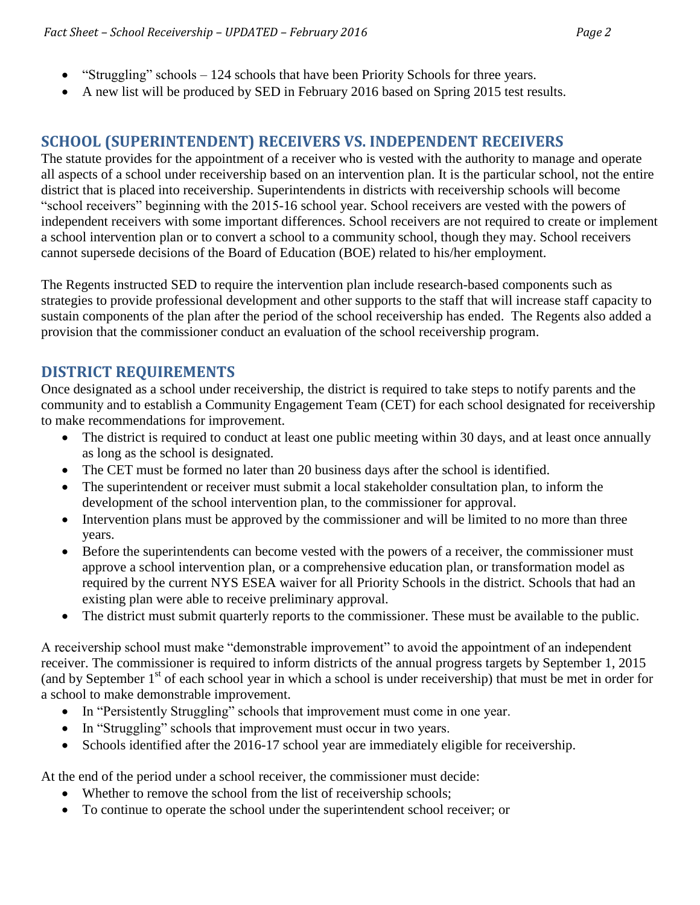- "Struggling" schools 124 schools that have been Priority Schools for three years.
- <span id="page-1-0"></span>A new list will be produced by SED in February 2016 based on Spring 2015 test results.

## **SCHOOL (SUPERINTENDENT) RECEIVERS VS. INDEPENDENT RECEIVERS**

The statute provides for the appointment of a receiver who is vested with the authority to manage and operate all aspects of a school under receivership based on an intervention plan. It is the particular school, not the entire district that is placed into receivership. Superintendents in districts with receivership schools will become "school receivers" beginning with the 2015-16 school year. School receivers are vested with the powers of independent receivers with some important differences. School receivers are not required to create or implement a school intervention plan or to convert a school to a community school, though they may. School receivers cannot supersede decisions of the Board of Education (BOE) related to his/her employment.

The Regents instructed SED to require the intervention plan include research-based components such as strategies to provide professional development and other supports to the staff that will increase staff capacity to sustain components of the plan after the period of the school receivership has ended. The Regents also added a provision that the commissioner conduct an evaluation of the school receivership program.

## <span id="page-1-1"></span>**DISTRICT REQUIREMENTS**

Once designated as a school under receivership, the district is required to take steps to notify parents and the community and to establish a Community Engagement Team (CET) for each school designated for receivership to make recommendations for improvement.

- The district is required to conduct at least one public meeting within 30 days, and at least once annually as long as the school is designated.
- The CET must be formed no later than 20 business days after the school is identified.
- The superintendent or receiver must submit a local stakeholder consultation plan, to inform the development of the school intervention plan, to the commissioner for approval.
- Intervention plans must be approved by the commissioner and will be limited to no more than three years.
- Before the superintendents can become vested with the powers of a receiver, the commissioner must approve a school intervention plan, or a comprehensive education plan, or transformation model as required by the current NYS ESEA waiver for all Priority Schools in the district. Schools that had an existing plan were able to receive preliminary approval.
- The district must submit quarterly reports to the commissioner. These must be available to the public.

A receivership school must make "demonstrable improvement" to avoid the appointment of an independent receiver. The commissioner is required to inform districts of the annual progress targets by September 1, 2015 (and by September  $1<sup>st</sup>$  of each school year in which a school is under receivership) that must be met in order for a school to make demonstrable improvement.

- In "Persistently Struggling" schools that improvement must come in one year.
- In "Struggling" schools that improvement must occur in two years.
- Schools identified after the 2016-17 school year are immediately eligible for receivership.

At the end of the period under a school receiver, the commissioner must decide:

- Whether to remove the school from the list of receivership schools;
- To continue to operate the school under the superintendent school receiver; or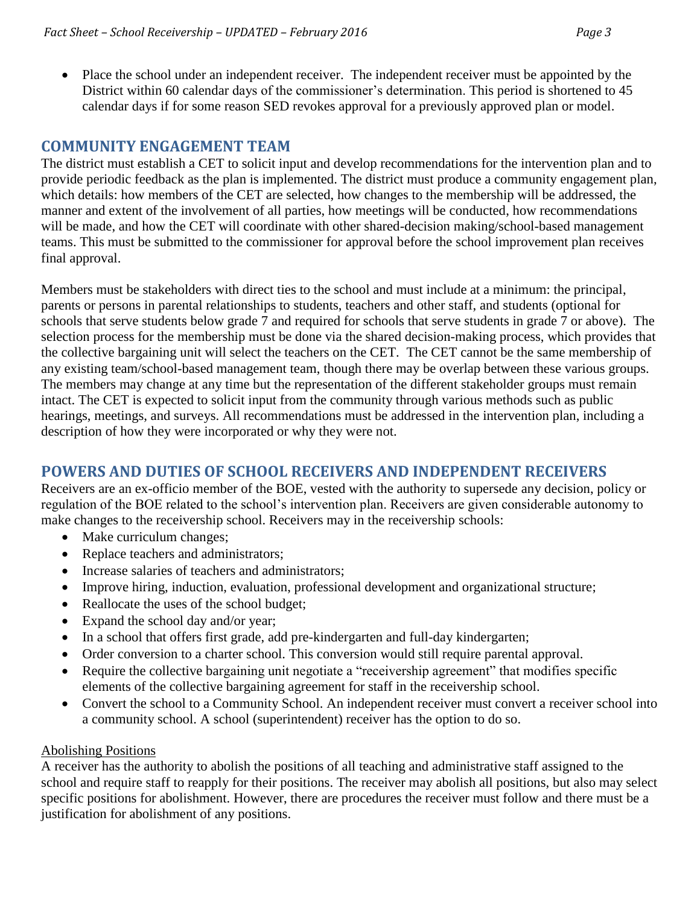- 
- Place the school under an independent receiver. The independent receiver must be appointed by the District within 60 calendar days of the commissioner's determination. This period is shortened to 45 calendar days if for some reason SED revokes approval for a previously approved plan or model.

## <span id="page-2-0"></span>**COMMUNITY ENGAGEMENT TEAM**

The district must establish a CET to solicit input and develop recommendations for the intervention plan and to provide periodic feedback as the plan is implemented. The district must produce a community engagement plan, which details: how members of the CET are selected, how changes to the membership will be addressed, the manner and extent of the involvement of all parties, how meetings will be conducted, how recommendations will be made, and how the CET will coordinate with other shared-decision making/school-based management teams. This must be submitted to the commissioner for approval before the school improvement plan receives final approval.

Members must be stakeholders with direct ties to the school and must include at a minimum: the principal, parents or persons in parental relationships to students, teachers and other staff, and students (optional for schools that serve students below grade 7 and required for schools that serve students in grade 7 or above). The selection process for the membership must be done via the shared decision-making process, which provides that the collective bargaining unit will select the teachers on the CET. The CET cannot be the same membership of any existing team/school-based management team, though there may be overlap between these various groups. The members may change at any time but the representation of the different stakeholder groups must remain intact. The CET is expected to solicit input from the community through various methods such as public hearings, meetings, and surveys. All recommendations must be addressed in the intervention plan, including a description of how they were incorporated or why they were not.

## <span id="page-2-1"></span>**POWERS AND DUTIES OF SCHOOL RECEIVERS AND INDEPENDENT RECEIVERS**

Receivers are an ex-officio member of the BOE, vested with the authority to supersede any decision, policy or regulation of the BOE related to the school's intervention plan. Receivers are given considerable autonomy to make changes to the receivership school. Receivers may in the receivership schools:

- Make curriculum changes;
- Replace teachers and administrators;
- Increase salaries of teachers and administrators;
- Improve hiring, induction, evaluation, professional development and organizational structure;
- Reallocate the uses of the school budget;
- Expand the school day and/or year;
- In a school that offers first grade, add pre-kindergarten and full-day kindergarten;
- Order conversion to a charter school. This conversion would still require parental approval.
- Require the collective bargaining unit negotiate a "receivership agreement" that modifies specific elements of the collective bargaining agreement for staff in the receivership school.
- Convert the school to a Community School. An independent receiver must convert a receiver school into a community school. A school (superintendent) receiver has the option to do so.

#### Abolishing Positions

A receiver has the authority to abolish the positions of all teaching and administrative staff assigned to the school and require staff to reapply for their positions. The receiver may abolish all positions, but also may select specific positions for abolishment. However, there are procedures the receiver must follow and there must be a justification for abolishment of any positions.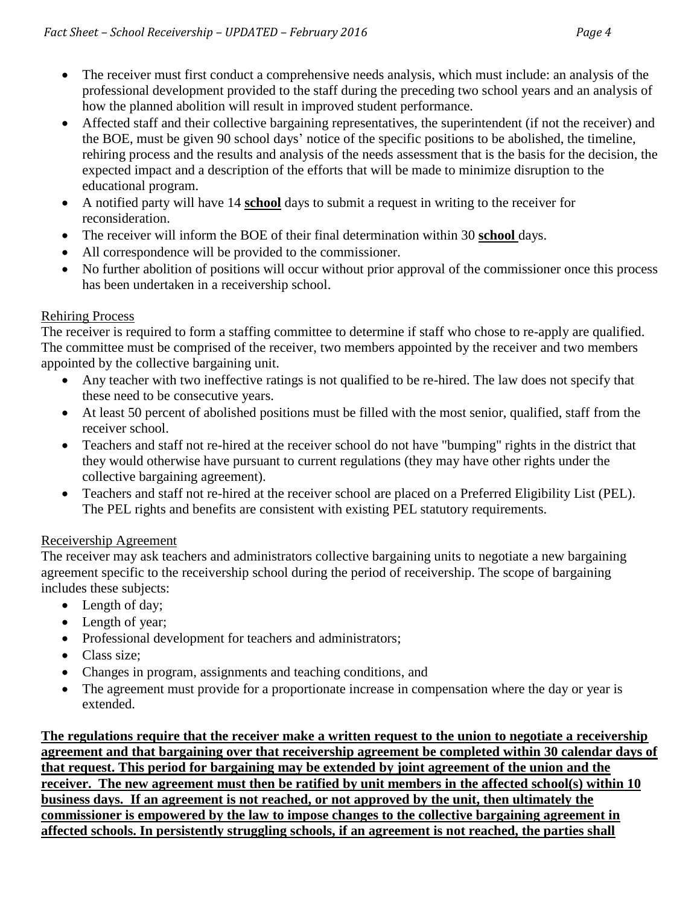- The receiver must first conduct a comprehensive needs analysis, which must include: an analysis of the professional development provided to the staff during the preceding two school years and an analysis of how the planned abolition will result in improved student performance.
- Affected staff and their collective bargaining representatives, the superintendent (if not the receiver) and the BOE, must be given 90 school days' notice of the specific positions to be abolished, the timeline, rehiring process and the results and analysis of the needs assessment that is the basis for the decision, the expected impact and a description of the efforts that will be made to minimize disruption to the educational program.
- A notified party will have 14 **school** days to submit a request in writing to the receiver for reconsideration.
- The receiver will inform the BOE of their final determination within 30 **school** days.
- All correspondence will be provided to the commissioner.
- No further abolition of positions will occur without prior approval of the commissioner once this process has been undertaken in a receivership school.

#### Rehiring Process

The receiver is required to form a staffing committee to determine if staff who chose to re-apply are qualified. The committee must be comprised of the receiver, two members appointed by the receiver and two members appointed by the collective bargaining unit.

- Any teacher with two ineffective ratings is not qualified to be re-hired. The law does not specify that these need to be consecutive years.
- At least 50 percent of abolished positions must be filled with the most senior, qualified, staff from the receiver school.
- Teachers and staff not re-hired at the receiver school do not have "bumping" rights in the district that they would otherwise have pursuant to current regulations (they may have other rights under the collective bargaining agreement).
- Teachers and staff not re-hired at the receiver school are placed on a Preferred Eligibility List (PEL). The PEL rights and benefits are consistent with existing PEL statutory requirements.

#### Receivership Agreement

The receiver may ask teachers and administrators collective bargaining units to negotiate a new bargaining agreement specific to the receivership school during the period of receivership. The scope of bargaining includes these subjects:

- Length of day;
- Length of year;
- Professional development for teachers and administrators;
- Class size:
- Changes in program, assignments and teaching conditions, and
- The agreement must provide for a proportionate increase in compensation where the day or year is extended.

**The regulations require that the receiver make a written request to the union to negotiate a receivership agreement and that bargaining over that receivership agreement be completed within 30 calendar days of that request. This period for bargaining may be extended by joint agreement of the union and the receiver. The new agreement must then be ratified by unit members in the affected school(s) within 10 business days. If an agreement is not reached, or not approved by the unit, then ultimately the commissioner is empowered by the law to impose changes to the collective bargaining agreement in affected schools. In persistently struggling schools, if an agreement is not reached, the parties shall**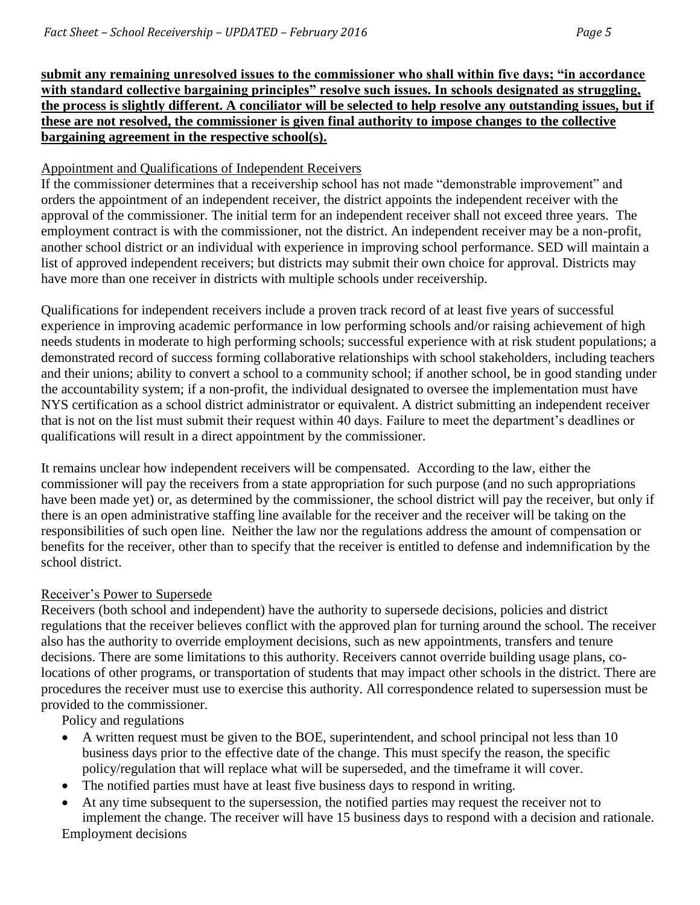**submit any remaining unresolved issues to the commissioner who shall within five days; "in accordance with standard collective bargaining principles" resolve such issues. In schools designated as struggling, the process is slightly different. A conciliator will be selected to help resolve any outstanding issues, but if these are not resolved, the commissioner is given final authority to impose changes to the collective bargaining agreement in the respective school(s).**

#### Appointment and Qualifications of Independent Receivers

If the commissioner determines that a receivership school has not made "demonstrable improvement" and orders the appointment of an independent receiver, the district appoints the independent receiver with the approval of the commissioner. The initial term for an independent receiver shall not exceed three years. The employment contract is with the commissioner, not the district. An independent receiver may be a non-profit, another school district or an individual with experience in improving school performance. SED will maintain a list of approved independent receivers; but districts may submit their own choice for approval. Districts may have more than one receiver in districts with multiple schools under receivership.

Qualifications for independent receivers include a proven track record of at least five years of successful experience in improving academic performance in low performing schools and/or raising achievement of high needs students in moderate to high performing schools; successful experience with at risk student populations; a demonstrated record of success forming collaborative relationships with school stakeholders, including teachers and their unions; ability to convert a school to a community school; if another school, be in good standing under the accountability system; if a non-profit, the individual designated to oversee the implementation must have NYS certification as a school district administrator or equivalent. A district submitting an independent receiver that is not on the list must submit their request within 40 days. Failure to meet the department's deadlines or qualifications will result in a direct appointment by the commissioner.

It remains unclear how independent receivers will be compensated. According to the law, either the commissioner will pay the receivers from a state appropriation for such purpose (and no such appropriations have been made yet) or, as determined by the commissioner, the school district will pay the receiver, but only if there is an open administrative staffing line available for the receiver and the receiver will be taking on the responsibilities of such open line. Neither the law nor the regulations address the amount of compensation or benefits for the receiver, other than to specify that the receiver is entitled to defense and indemnification by the school district.

#### Receiver's Power to Supersede

Receivers (both school and independent) have the authority to supersede decisions, policies and district regulations that the receiver believes conflict with the approved plan for turning around the school. The receiver also has the authority to override employment decisions, such as new appointments, transfers and tenure decisions. There are some limitations to this authority. Receivers cannot override building usage plans, colocations of other programs, or transportation of students that may impact other schools in the district. There are procedures the receiver must use to exercise this authority. All correspondence related to supersession must be provided to the commissioner.

Policy and regulations

- A written request must be given to the BOE, superintendent, and school principal not less than 10 business days prior to the effective date of the change. This must specify the reason, the specific policy/regulation that will replace what will be superseded, and the timeframe it will cover.
- The notified parties must have at least five business days to respond in writing.
- At any time subsequent to the supersession, the notified parties may request the receiver not to implement the change. The receiver will have 15 business days to respond with a decision and rationale. Employment decisions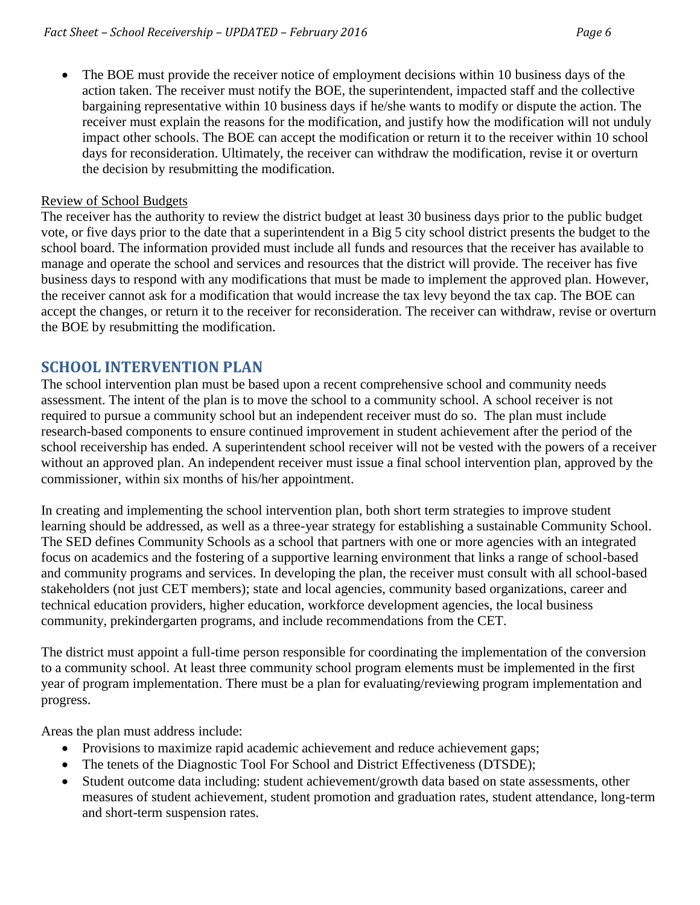The BOE must provide the receiver notice of employment decisions within 10 business days of the action taken. The receiver must notify the BOE, the superintendent, impacted staff and the collective bargaining representative within 10 business days if he/she wants to modify or dispute the action. The receiver must explain the reasons for the modification, and justify how the modification will not unduly impact other schools. The BOE can accept the modification or return it to the receiver within 10 school days for reconsideration. Ultimately, the receiver can withdraw the modification, revise it or overturn the decision by resubmitting the modification.

#### Review of School Budgets

The receiver has the authority to review the district budget at least 30 business days prior to the public budget vote, or five days prior to the date that a superintendent in a Big 5 city school district presents the budget to the school board. The information provided must include all funds and resources that the receiver has available to manage and operate the school and services and resources that the district will provide. The receiver has five business days to respond with any modifications that must be made to implement the approved plan. However, the receiver cannot ask for a modification that would increase the tax levy beyond the tax cap. The BOE can accept the changes, or return it to the receiver for reconsideration. The receiver can withdraw, revise or overturn the BOE by resubmitting the modification.

#### <span id="page-5-0"></span>**SCHOOL INTERVENTION PLAN**

The school intervention plan must be based upon a recent comprehensive school and community needs assessment. The intent of the plan is to move the school to a community school. A school receiver is not required to pursue a community school but an independent receiver must do so. The plan must include research-based components to ensure continued improvement in student achievement after the period of the school receivership has ended. A superintendent school receiver will not be vested with the powers of a receiver without an approved plan. An independent receiver must issue a final school intervention plan, approved by the commissioner, within six months of his/her appointment.

In creating and implementing the school intervention plan, both short term strategies to improve student learning should be addressed, as well as a three-year strategy for establishing a sustainable Community School. The SED defines Community Schools as a school that partners with one or more agencies with an integrated focus on academics and the fostering of a supportive learning environment that links a range of school-based and community programs and services. In developing the plan, the receiver must consult with all school-based stakeholders (not just CET members); state and local agencies, community based organizations, career and technical education providers, higher education, workforce development agencies, the local business community, prekindergarten programs, and include recommendations from the CET.

The district must appoint a full-time person responsible for coordinating the implementation of the conversion to a community school. At least three community school program elements must be implemented in the first year of program implementation. There must be a plan for evaluating/reviewing program implementation and progress.

Areas the plan must address include:

- Provisions to maximize rapid academic achievement and reduce achievement gaps;
- The tenets of the Diagnostic Tool For School and District Effectiveness (DTSDE);
- Student outcome data including: student achievement/growth data based on state assessments, other measures of student achievement, student promotion and graduation rates, student attendance, long-term and short-term suspension rates.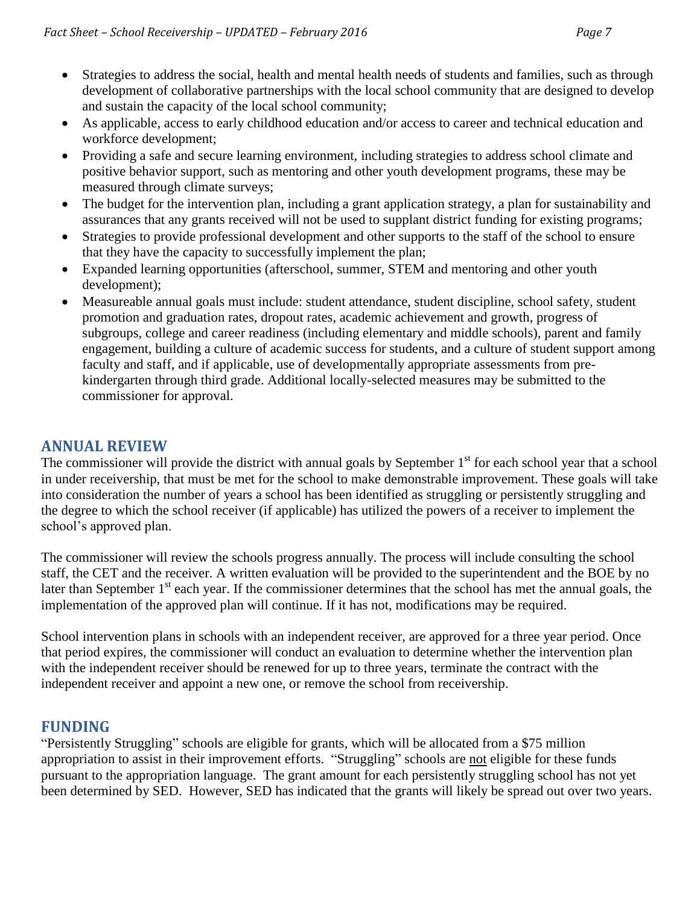- Strategies to address the social, health and mental health needs of students and families, such as through development of collaborative partnerships with the local school community that are designed to develop and sustain the capacity of the local school community;
- As applicable, access to early childhood education and/or access to career and technical education and workforce development;
- Providing a safe and secure learning environment, including strategies to address school climate and positive behavior support, such as mentoring and other youth development programs, these may be measured through climate surveys;
- The budget for the intervention plan, including a grant application strategy, a plan for sustainability and assurances that any grants received will not be used to supplant district funding for existing programs;
- Strategies to provide professional development and other supports to the staff of the school to ensure that they have the capacity to successfully implement the plan;
- Expanded learning opportunities (afterschool, summer, STEM and mentoring and other youth development);
- Measureable annual goals must include: student attendance, student discipline, school safety, student promotion and graduation rates, dropout rates, academic achievement and growth, progress of subgroups, college and career readiness (including elementary and middle schools), parent and family engagement, building a culture of academic success for students, and a culture of student support among faculty and staff, and if applicable, use of developmentally appropriate assessments from prekindergarten through third grade. Additional locally-selected measures may be submitted to the commissioner for approval.

#### <span id="page-6-0"></span>**ANNUAL REVIEW**

The commissioner will provide the district with annual goals by September  $1<sup>st</sup>$  for each school year that a school in under receivership, that must be met for the school to make demonstrable improvement. These goals will take into consideration the number of years a school has been identified as struggling or persistently struggling and the degree to which the school receiver (if applicable) has utilized the powers of a receiver to implement the school's approved plan.

The commissioner will review the schools progress annually. The process will include consulting the school staff, the CET and the receiver. A written evaluation will be provided to the superintendent and the BOE by no later than September 1<sup>st</sup> each year. If the commissioner determines that the school has met the annual goals, the implementation of the approved plan will continue. If it has not, modifications may be required.

School intervention plans in schools with an independent receiver, are approved for a three year period. Once that period expires, the commissioner will conduct an evaluation to determine whether the intervention plan with the independent receiver should be renewed for up to three years, terminate the contract with the independent receiver and appoint a new one, or remove the school from receivership.

#### <span id="page-6-1"></span>**FUNDING**

"Persistently Struggling" schools are eligible for grants, which will be allocated from a \$75 million appropriation to assist in their improvement efforts. "Struggling" schools are not eligible for these funds pursuant to the appropriation language. The grant amount for each persistently struggling school has not yet been determined by SED. However, SED has indicated that the grants will likely be spread out over two years.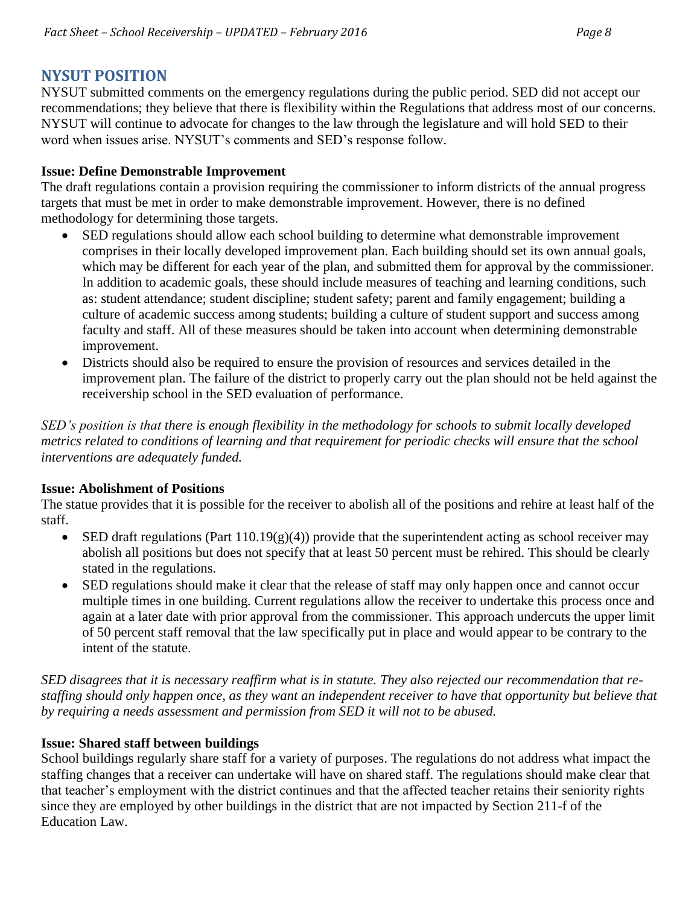## <span id="page-7-0"></span>**NYSUT POSITION**

NYSUT submitted comments on the emergency regulations during the public period. SED did not accept our recommendations; they believe that there is flexibility within the Regulations that address most of our concerns. NYSUT will continue to advocate for changes to the law through the legislature and will hold SED to their word when issues arise. NYSUT's comments and SED's response follow.

#### **Issue: Define Demonstrable Improvement**

The draft regulations contain a provision requiring the commissioner to inform districts of the annual progress targets that must be met in order to make demonstrable improvement. However, there is no defined methodology for determining those targets.

- SED regulations should allow each school building to determine what demonstrable improvement comprises in their locally developed improvement plan. Each building should set its own annual goals, which may be different for each year of the plan, and submitted them for approval by the commissioner. In addition to academic goals, these should include measures of teaching and learning conditions, such as: student attendance; student discipline; student safety; parent and family engagement; building a culture of academic success among students; building a culture of student support and success among faculty and staff. All of these measures should be taken into account when determining demonstrable improvement.
- Districts should also be required to ensure the provision of resources and services detailed in the improvement plan. The failure of the district to properly carry out the plan should not be held against the receivership school in the SED evaluation of performance.

*SED's position is that there is enough flexibility in the methodology for schools to submit locally developed metrics related to conditions of learning and that requirement for periodic checks will ensure that the school interventions are adequately funded.*

#### **Issue: Abolishment of Positions**

The statue provides that it is possible for the receiver to abolish all of the positions and rehire at least half of the staff.

- SED draft regulations (Part  $110.19(g)(4)$ ) provide that the superintendent acting as school receiver may abolish all positions but does not specify that at least 50 percent must be rehired. This should be clearly stated in the regulations.
- SED regulations should make it clear that the release of staff may only happen once and cannot occur multiple times in one building. Current regulations allow the receiver to undertake this process once and again at a later date with prior approval from the commissioner. This approach undercuts the upper limit of 50 percent staff removal that the law specifically put in place and would appear to be contrary to the intent of the statute.

*SED disagrees that it is necessary reaffirm what is in statute. They also rejected our recommendation that restaffing should only happen once, as they want an independent receiver to have that opportunity but believe that by requiring a needs assessment and permission from SED it will not to be abused.*

#### **Issue: Shared staff between buildings**

School buildings regularly share staff for a variety of purposes. The regulations do not address what impact the staffing changes that a receiver can undertake will have on shared staff. The regulations should make clear that that teacher's employment with the district continues and that the affected teacher retains their seniority rights since they are employed by other buildings in the district that are not impacted by Section 211-f of the Education Law.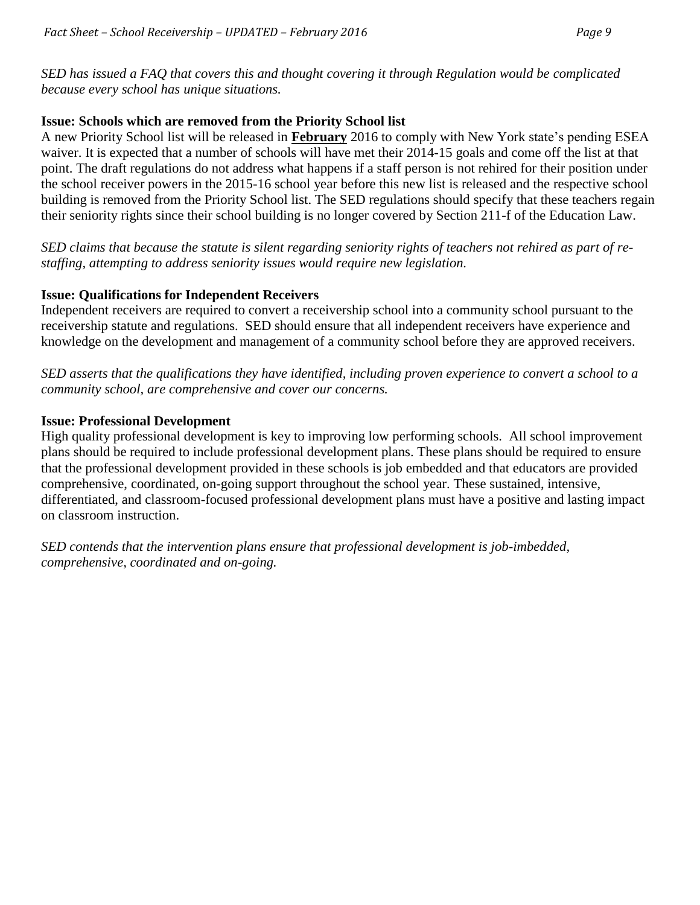*SED has issued a FAQ that covers this and thought covering it through Regulation would be complicated because every school has unique situations.*

#### **Issue: Schools which are removed from the Priority School list**

A new Priority School list will be released in **February** 2016 to comply with New York state's pending ESEA waiver. It is expected that a number of schools will have met their 2014-15 goals and come off the list at that point. The draft regulations do not address what happens if a staff person is not rehired for their position under the school receiver powers in the 2015-16 school year before this new list is released and the respective school building is removed from the Priority School list. The SED regulations should specify that these teachers regain their seniority rights since their school building is no longer covered by Section 211-f of the Education Law.

*SED claims that because the statute is silent regarding seniority rights of teachers not rehired as part of restaffing, attempting to address seniority issues would require new legislation.*

#### **Issue: Qualifications for Independent Receivers**

Independent receivers are required to convert a receivership school into a community school pursuant to the receivership statute and regulations. SED should ensure that all independent receivers have experience and knowledge on the development and management of a community school before they are approved receivers.

*SED asserts that the qualifications they have identified, including proven experience to convert a school to a community school, are comprehensive and cover our concerns.* 

#### **Issue: Professional Development**

High quality professional development is key to improving low performing schools. All school improvement plans should be required to include professional development plans. These plans should be required to ensure that the professional development provided in these schools is job embedded and that educators are provided comprehensive, coordinated, on-going support throughout the school year. These sustained, intensive, differentiated, and classroom-focused professional development plans must have a positive and lasting impact on classroom instruction.

*SED contends that the intervention plans ensure that professional development is job-imbedded, comprehensive, coordinated and on-going.*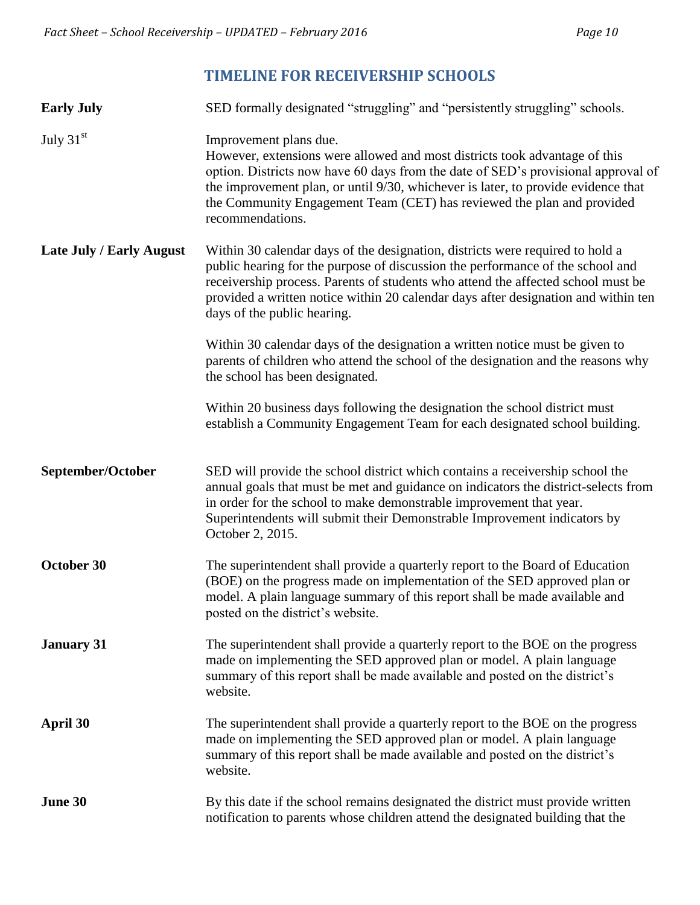## **TIMELINE FOR RECEIVERSHIP SCHOOLS**

<span id="page-9-0"></span>

| <b>Early July</b>               | SED formally designated "struggling" and "persistently struggling" schools.                                                                                                                                                                                                                                                                                                  |
|---------------------------------|------------------------------------------------------------------------------------------------------------------------------------------------------------------------------------------------------------------------------------------------------------------------------------------------------------------------------------------------------------------------------|
| July 31st                       | Improvement plans due.<br>However, extensions were allowed and most districts took advantage of this<br>option. Districts now have 60 days from the date of SED's provisional approval of<br>the improvement plan, or until 9/30, whichever is later, to provide evidence that<br>the Community Engagement Team (CET) has reviewed the plan and provided<br>recommendations. |
| <b>Late July / Early August</b> | Within 30 calendar days of the designation, districts were required to hold a<br>public hearing for the purpose of discussion the performance of the school and<br>receivership process. Parents of students who attend the affected school must be<br>provided a written notice within 20 calendar days after designation and within ten<br>days of the public hearing.     |
|                                 | Within 30 calendar days of the designation a written notice must be given to<br>parents of children who attend the school of the designation and the reasons why<br>the school has been designated.                                                                                                                                                                          |
|                                 | Within 20 business days following the designation the school district must<br>establish a Community Engagement Team for each designated school building.                                                                                                                                                                                                                     |
| September/October               | SED will provide the school district which contains a receivership school the<br>annual goals that must be met and guidance on indicators the district-selects from<br>in order for the school to make demonstrable improvement that year.<br>Superintendents will submit their Demonstrable Improvement indicators by<br>October 2, 2015.                                   |
| October 30                      | The superintendent shall provide a quarterly report to the Board of Education<br>(BOE) on the progress made on implementation of the SED approved plan or<br>model. A plain language summary of this report shall be made available and<br>posted on the district's website.                                                                                                 |
| <b>January 31</b>               | The superintendent shall provide a quarterly report to the BOE on the progress<br>made on implementing the SED approved plan or model. A plain language<br>summary of this report shall be made available and posted on the district's<br>website.                                                                                                                           |
| April 30                        | The superintendent shall provide a quarterly report to the BOE on the progress<br>made on implementing the SED approved plan or model. A plain language<br>summary of this report shall be made available and posted on the district's<br>website.                                                                                                                           |
| June 30                         | By this date if the school remains designated the district must provide written<br>notification to parents whose children attend the designated building that the                                                                                                                                                                                                            |